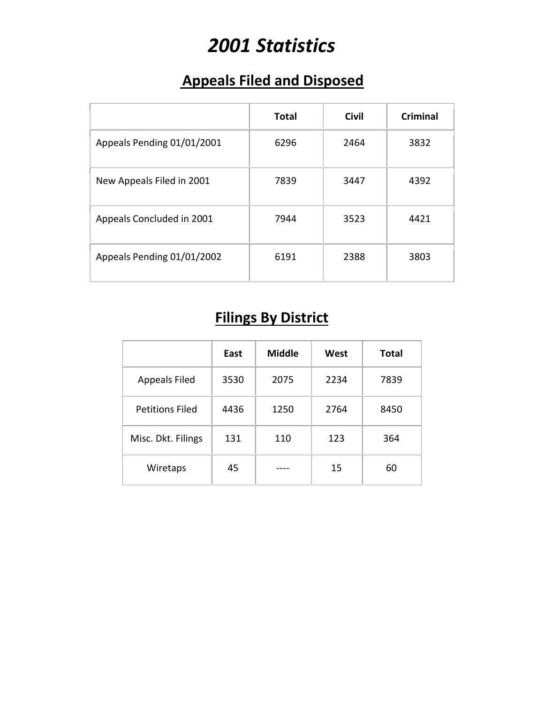# *2001 Statistics*

### **Appeals Filed and Disposed**

|                            | <b>Total</b> | <b>Civil</b> | <b>Criminal</b> |
|----------------------------|--------------|--------------|-----------------|
| Appeals Pending 01/01/2001 | 6296         | 2464         | 3832            |
| New Appeals Filed in 2001  | 7839         | 3447         | 4392            |
| Appeals Concluded in 2001  | 7944         | 3523         | 4421            |
| Appeals Pending 01/01/2002 | 6191         | 2388         | 3803            |

## **Filings By District**

|                        | East | <b>Middle</b> | West | <b>Total</b> |
|------------------------|------|---------------|------|--------------|
| <b>Appeals Filed</b>   | 3530 | 2075          | 2234 | 7839         |
| <b>Petitions Filed</b> | 4436 | 1250          | 2764 | 8450         |
| Misc. Dkt. Filings     | 131  | 110           | 123  | 364          |
| Wiretaps               | 45   |               | 15   | 60           |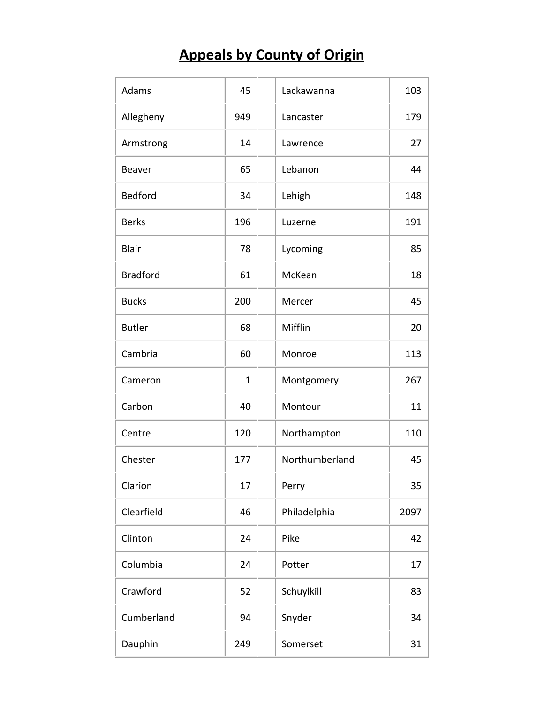## **Appeals by County of Origin**

| Adams           | 45  | Lackawanna     | 103  |
|-----------------|-----|----------------|------|
| Allegheny       | 949 | Lancaster      | 179  |
| Armstrong       | 14  | Lawrence       | 27   |
| Beaver          | 65  | Lebanon        | 44   |
| <b>Bedford</b>  | 34  | Lehigh         | 148  |
| <b>Berks</b>    | 196 | Luzerne        | 191  |
| <b>Blair</b>    | 78  | Lycoming       | 85   |
| <b>Bradford</b> | 61  | McKean         | 18   |
| <b>Bucks</b>    | 200 | Mercer         | 45   |
| <b>Butler</b>   | 68  | Mifflin        | 20   |
| Cambria         | 60  | Monroe         | 113  |
| Cameron         | 1   | Montgomery     | 267  |
| Carbon          | 40  | Montour        | 11   |
| Centre          | 120 | Northampton    | 110  |
| Chester         | 177 | Northumberland | 45   |
| Clarion         | 17  | Perry          | 35   |
| Clearfield      | 46  | Philadelphia   | 2097 |
| Clinton         | 24  | Pike           | 42   |
| Columbia        | 24  | Potter         | 17   |
| Crawford        | 52  | Schuylkill     | 83   |
| Cumberland      | 94  | Snyder         | 34   |
| Dauphin         | 249 | Somerset       | 31   |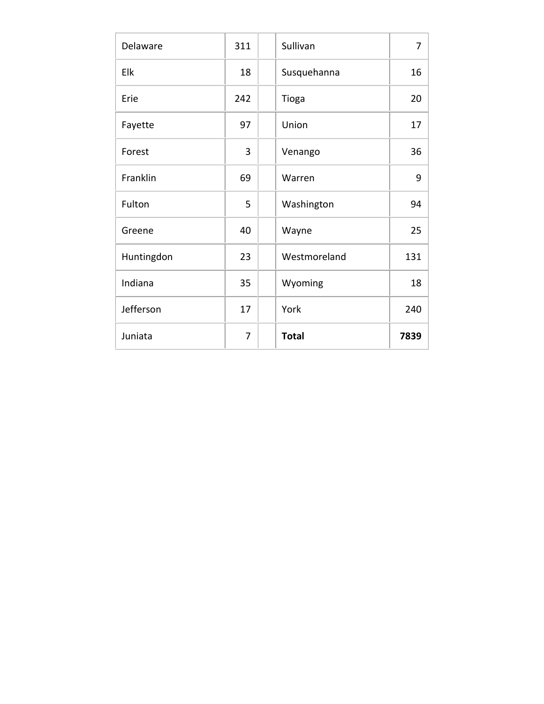| Delaware   | 311 | Sullivan     | 7    |
|------------|-----|--------------|------|
| Elk        | 18  | Susquehanna  | 16   |
| Erie       | 242 | Tioga        | 20   |
| Fayette    | 97  | Union        | 17   |
| Forest     | 3   | Venango      | 36   |
| Franklin   | 69  | Warren       | 9    |
| Fulton     | 5   | Washington   | 94   |
| Greene     | 40  | Wayne        | 25   |
| Huntingdon | 23  | Westmoreland | 131  |
| Indiana    | 35  | Wyoming      | 18   |
| Jefferson  | 17  | York         | 240  |
| Juniata    | 7   | <b>Total</b> | 7839 |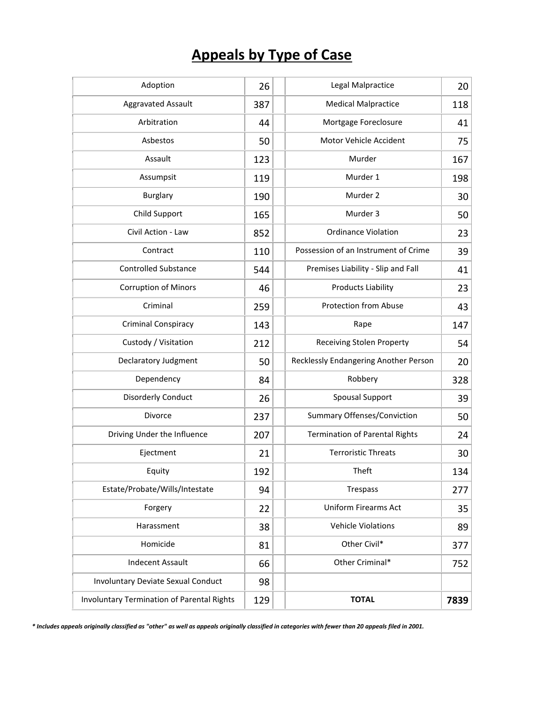## **Appeals by Type of Case**

| Adoption                                          | 26  |                                       | Legal Malpractice                     | 20   |
|---------------------------------------------------|-----|---------------------------------------|---------------------------------------|------|
| <b>Aggravated Assault</b>                         | 387 |                                       | <b>Medical Malpractice</b>            | 118  |
| Arbitration                                       | 44  |                                       | Mortgage Foreclosure                  | 41   |
| Asbestos                                          | 50  |                                       | Motor Vehicle Accident                | 75   |
| Assault                                           | 123 |                                       | Murder                                | 167  |
| Assumpsit                                         | 119 |                                       | Murder 1                              | 198  |
| <b>Burglary</b>                                   | 190 |                                       | Murder 2                              | 30   |
| Child Support                                     | 165 |                                       | Murder 3                              | 50   |
| Civil Action - Law                                | 852 |                                       | <b>Ordinance Violation</b>            | 23   |
| Contract                                          | 110 |                                       | Possession of an Instrument of Crime  | 39   |
| <b>Controlled Substance</b>                       | 544 |                                       | Premises Liability - Slip and Fall    | 41   |
| <b>Corruption of Minors</b>                       | 46  |                                       | <b>Products Liability</b>             | 23   |
| Criminal                                          | 259 |                                       | <b>Protection from Abuse</b>          | 43   |
| Criminal Conspiracy                               | 143 |                                       | Rape                                  | 147  |
| Custody / Visitation                              | 212 |                                       | <b>Receiving Stolen Property</b>      | 54   |
| Declaratory Judgment                              | 50  | Recklessly Endangering Another Person |                                       | 20   |
| Dependency                                        | 84  | Robbery                               |                                       | 328  |
| <b>Disorderly Conduct</b>                         | 26  | <b>Spousal Support</b>                |                                       | 39   |
| Divorce                                           | 237 |                                       | <b>Summary Offenses/Conviction</b>    | 50   |
| Driving Under the Influence                       | 207 |                                       | <b>Termination of Parental Rights</b> | 24   |
| Ejectment                                         | 21  |                                       | <b>Terroristic Threats</b>            | 30   |
| Equity                                            | 192 |                                       | Theft                                 | 134  |
| Estate/Probate/Wills/Intestate                    | 94  | Trespass                              |                                       | 277  |
| Forgery                                           | 22  | <b>Uniform Firearms Act</b>           |                                       | 35   |
| Harassment                                        | 38  |                                       | <b>Vehicle Violations</b>             | 89   |
| Homicide                                          | 81  |                                       | Other Civil*                          | 377  |
| <b>Indecent Assault</b>                           | 66  | Other Criminal*                       |                                       | 752  |
| <b>Involuntary Deviate Sexual Conduct</b>         | 98  |                                       |                                       |      |
| <b>Involuntary Termination of Parental Rights</b> | 129 |                                       | <b>TOTAL</b>                          | 7839 |

*\* Includes appeals originally classified as "other" as well as appeals originally classified in categories with fewer than 20 appeals filed in 2001.*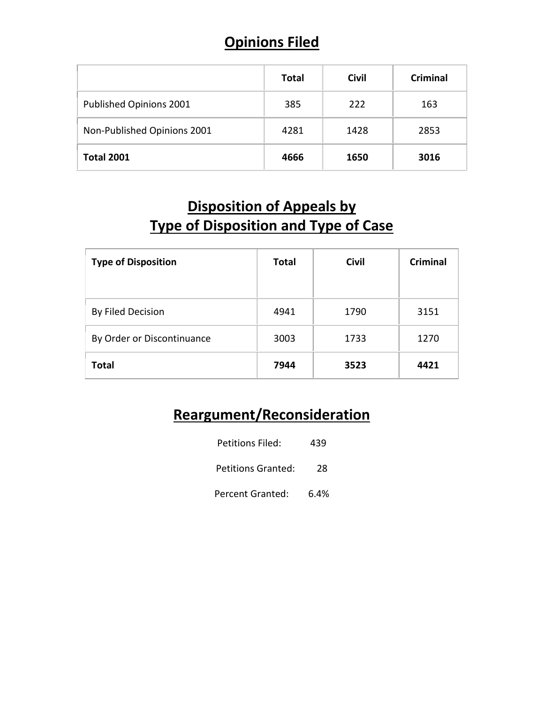### **Opinions Filed**

|                             | <b>Total</b> | <b>Civil</b> | <b>Criminal</b> |
|-----------------------------|--------------|--------------|-----------------|
| Published Opinions 2001     | 385          | 222          | 163             |
| Non-Published Opinions 2001 | 4281         | 1428         | 2853            |
| <b>Total 2001</b>           | 4666         | 1650         | 3016            |

### **Disposition of Appeals by Type of Disposition and Type of Case**

| <b>Type of Disposition</b> | <b>Total</b> | <b>Civil</b> | <b>Criminal</b> |
|----------------------------|--------------|--------------|-----------------|
| By Filed Decision          | 4941         | 1790         | 3151            |
| By Order or Discontinuance | 3003         | 1733         | 1270            |
| <b>Total</b>               | 7944         | 3523         | 4421            |

### **Reargument/Reconsideration**

| Petitions Filed:          | 439  |  |
|---------------------------|------|--|
| <b>Petitions Granted:</b> | 28   |  |
| <b>Percent Granted:</b>   | 6.4% |  |